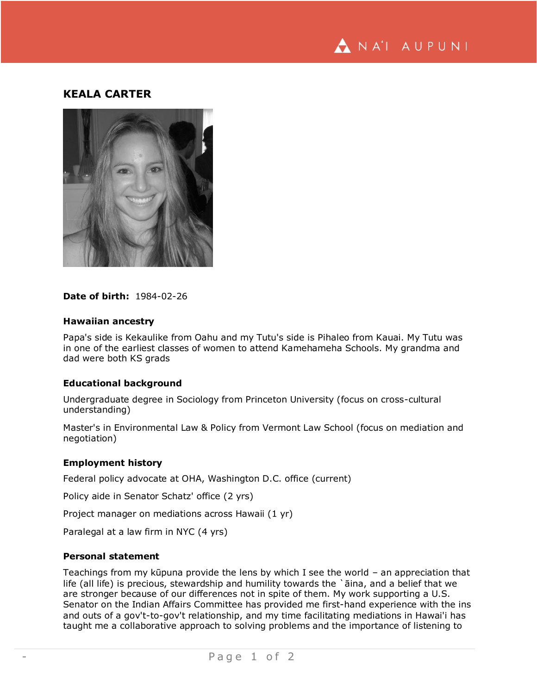

# **KEALA CARTER**



#### **Date of birth:** 1984-02-26

### **Hawaiian ancestry**

Papa's side is Kekaulike from Oahu and my Tutu's side is Pihaleo from Kauai. My Tutu was in one of the earliest classes of women to attend Kamehameha Schools. My grandma and dad were both KS grads

## **Educational background**

Undergraduate degree in Sociology from Princeton University (focus on cross-cultural understanding)

Master's in Environmental Law & Policy from Vermont Law School (focus on mediation and negotiation)

#### **Employment history**

Federal policy advocate at OHA, Washington D.C. office (current)

Policy aide in Senator Schatz' office (2 yrs)

Project manager on mediations across Hawaii (1 yr)

Paralegal at a law firm in NYC (4 yrs)

## **Personal statement**

Teachings from my kūpuna provide the lens by which I see the world – an appreciation that life (all life) is precious, stewardship and humility towards the `āina, and a belief that we are stronger because of our differences not in spite of them. My work supporting a U.S. Senator on the Indian Affairs Committee has provided me first-hand experience with the ins and outs of a gov't-to-gov't relationship, and my time facilitating mediations in Hawai'i has taught me a collaborative approach to solving problems and the importance of listening to